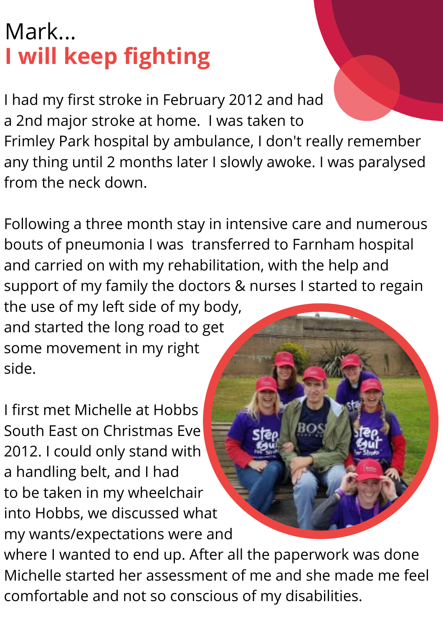## Mark... **I will keep fighting**

I had my first stroke in February 2012 and had a 2nd major stroke at home. I was taken to Frimley Park hospital by ambulance, I don't really remember any thing until 2 months later I slowly awoke. I was paralysed from the neck down.

Following a three month stay in intensive care and numerous bouts of pneumonia I was transferred to Farnham hospital and carried on with my rehabilitation, with the help and support of my family the doctors & nurses I started to regain the use of my left side of my body,

and started the long road to get some movement in my right side.

I first met Michelle at Hobbs South East on Christmas Eve 2012. I could only stand with a handling belt, and I had to be taken in my wheelchair into Hobbs, we discussed what my wants/expectations were and

where I wanted to end up. After all the paperwork was done Michelle started her assessment of me and she made me feel comfortable and not so conscious of my disabilities.